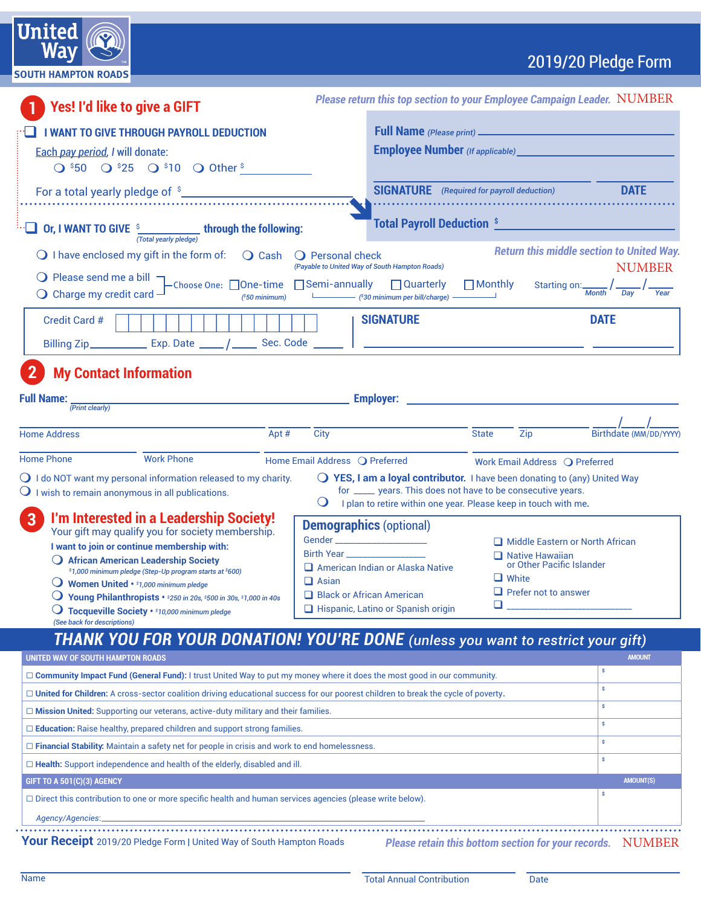|  |  |  | 2019/20 Pledge Form |
|--|--|--|---------------------|
|  |  |  |                     |

| <b>UILLEU</b> <i>((O</i><br>Wav | <b>TM</b> |  |
|---------------------------------|-----------|--|
| <b>SOUTH HAMPTON ROADS</b>      |           |  |
|                                 |           |  |

 $Institut$ 

| <b>Yes! I'd like to give a GIFT</b>                                                                                                                                                                                                                                                                                                                                                                                                                                                     |                                                                                                                                                                                                              | Please return this top section to your Employee Campaign Leader. NUMBER                                                                                                                                               |                                                                                                                                       |                                                                             |
|-----------------------------------------------------------------------------------------------------------------------------------------------------------------------------------------------------------------------------------------------------------------------------------------------------------------------------------------------------------------------------------------------------------------------------------------------------------------------------------------|--------------------------------------------------------------------------------------------------------------------------------------------------------------------------------------------------------------|-----------------------------------------------------------------------------------------------------------------------------------------------------------------------------------------------------------------------|---------------------------------------------------------------------------------------------------------------------------------------|-----------------------------------------------------------------------------|
| <b>I WANT TO GIVE THROUGH PAYROLL DEDUCTION</b>                                                                                                                                                                                                                                                                                                                                                                                                                                         |                                                                                                                                                                                                              |                                                                                                                                                                                                                       |                                                                                                                                       |                                                                             |
| Each pay period, I will donate:                                                                                                                                                                                                                                                                                                                                                                                                                                                         |                                                                                                                                                                                                              | <b>Employee Number</b> (If applicable) __________________                                                                                                                                                             |                                                                                                                                       |                                                                             |
| $Q$ \$50 $Q$ \$25 $Q$ \$10 $Q$ Other \$                                                                                                                                                                                                                                                                                                                                                                                                                                                 |                                                                                                                                                                                                              |                                                                                                                                                                                                                       |                                                                                                                                       |                                                                             |
|                                                                                                                                                                                                                                                                                                                                                                                                                                                                                         |                                                                                                                                                                                                              |                                                                                                                                                                                                                       |                                                                                                                                       | <b>DATE</b>                                                                 |
| For a total yearly pledge of \$                                                                                                                                                                                                                                                                                                                                                                                                                                                         |                                                                                                                                                                                                              | <b>SIGNATURE</b> (Required for payroll deduction)                                                                                                                                                                     |                                                                                                                                       |                                                                             |
| Or, I WANT TO GIVE $\frac{s}{(Total \text{ yearly^{p}} $ through the following:                                                                                                                                                                                                                                                                                                                                                                                                         |                                                                                                                                                                                                              | <b>Total Payroll Deduction S</b>                                                                                                                                                                                      |                                                                                                                                       |                                                                             |
| $\bigcirc$ I have enclosed my gift in the form of:<br>$\bigcirc$ Cash                                                                                                                                                                                                                                                                                                                                                                                                                   | O Personal check                                                                                                                                                                                             |                                                                                                                                                                                                                       |                                                                                                                                       | <b>Return this middle section to United Way.</b>                            |
|                                                                                                                                                                                                                                                                                                                                                                                                                                                                                         | (Payable to United Way of South Hampton Roads)                                                                                                                                                               |                                                                                                                                                                                                                       |                                                                                                                                       | <b>NUMBER</b>                                                               |
| O Please send me a bill $\Box$ Choose One: $\Box$ One-time $\Box$ Semi-annually $\Box$ Quarterly<br>$\bigcirc$ Charge my credit card $-$<br>$(*50$ minimum)                                                                                                                                                                                                                                                                                                                             |                                                                                                                                                                                                              | $\Box$ Monthly<br>[30 minimum per bill/charge]                                                                                                                                                                        |                                                                                                                                       | Starting on: $\frac{1}{M_{\text{onth}}}$ / $\frac{1}{\frac{1}{\text{Day}}}$ |
| Credit Card #<br>Billing Zip_________________ Exp. Date ______/ ________ Sec. Code _______   _________                                                                                                                                                                                                                                                                                                                                                                                  | <b>SIGNATURE</b>                                                                                                                                                                                             |                                                                                                                                                                                                                       |                                                                                                                                       | <b>DATE</b>                                                                 |
| <b>My Contact Information</b>                                                                                                                                                                                                                                                                                                                                                                                                                                                           |                                                                                                                                                                                                              |                                                                                                                                                                                                                       |                                                                                                                                       |                                                                             |
| <b>Full Name:</b><br><u> 1980 - Johann Barbara, martxa alemaniar arg</u>                                                                                                                                                                                                                                                                                                                                                                                                                |                                                                                                                                                                                                              |                                                                                                                                                                                                                       |                                                                                                                                       |                                                                             |
| (Print clearly)                                                                                                                                                                                                                                                                                                                                                                                                                                                                         |                                                                                                                                                                                                              |                                                                                                                                                                                                                       |                                                                                                                                       |                                                                             |
| <b>Home Address</b><br>Apt #                                                                                                                                                                                                                                                                                                                                                                                                                                                            | City                                                                                                                                                                                                         | <b>State</b>                                                                                                                                                                                                          | Zip                                                                                                                                   | Birthdate (MM/DD/YYYY)                                                      |
| <b>Home Phone</b><br><b>Work Phone</b>                                                                                                                                                                                                                                                                                                                                                                                                                                                  | Home Email Address Q Preferred                                                                                                                                                                               |                                                                                                                                                                                                                       | Work Email Address Q Preferred                                                                                                        |                                                                             |
| $\bigcirc$ I do NOT want my personal information released to my charity.<br>$\bigcirc$ I wish to remain anonymous in all publications.                                                                                                                                                                                                                                                                                                                                                  | $\cup$                                                                                                                                                                                                       | $\bigcirc$ YES, I am a loyal contributor. I have been donating to (any) United Way<br>for _____ years. This does not have to be consecutive years.<br>I plan to retire within one year. Please keep in touch with me. |                                                                                                                                       |                                                                             |
| $\overline{3}$<br>I'm Interested in a Leadership Society!<br>Your gift may qualify you for society membership.<br>I want to join or continue membership with:<br>African American Leadership Society<br>\$1,000 minimum pledge (Step-Up program starts at \$600)<br>$\bigcirc$ Women United • \$1,000 minimum pledge<br><b>Voung Philanthropists</b> $\cdot$ \$250 in 20s, \$500 in 30s, \$1,000 in 40s<br>Tocqueville Society · \$10,000 minimum pledge<br>(See back for descriptions) | <b>Demographics (optional)</b><br>Gender _______________________<br>Birth Year<br>American Indian or Alaska Native<br>$\Box$ Asian<br>$\Box$ Black or African American<br>Hispanic, Latino or Spanish origin |                                                                                                                                                                                                                       | Middle Eastern or North African<br>$\Box$ Native Hawaiian<br>or Other Pacific Islander<br>$\Box$ White<br>$\Box$ Prefer not to answer |                                                                             |
| <b>THANK YOU FOR YOUR DONATION! YOU'RE DONE</b> (unless you want to restrict your gift)                                                                                                                                                                                                                                                                                                                                                                                                 |                                                                                                                                                                                                              |                                                                                                                                                                                                                       |                                                                                                                                       |                                                                             |
| UNITED WAY OF SOUTH HAMPTON ROADS                                                                                                                                                                                                                                                                                                                                                                                                                                                       |                                                                                                                                                                                                              |                                                                                                                                                                                                                       |                                                                                                                                       | <b>AMOUNT</b>                                                               |
| □ Community Impact Fund (General Fund): I trust United Way to put my money where it does the most good in our community.                                                                                                                                                                                                                                                                                                                                                                |                                                                                                                                                                                                              |                                                                                                                                                                                                                       |                                                                                                                                       | \$                                                                          |
| □ United for Children: A cross-sector coalition driving educational success for our poorest children to break the cycle of poverty.                                                                                                                                                                                                                                                                                                                                                     |                                                                                                                                                                                                              |                                                                                                                                                                                                                       |                                                                                                                                       | Ŝ                                                                           |
| □ Mission United: Supporting our veterans, active-duty military and their families.                                                                                                                                                                                                                                                                                                                                                                                                     |                                                                                                                                                                                                              |                                                                                                                                                                                                                       |                                                                                                                                       | s                                                                           |
| $\Box$ <b>Education:</b> Raise healthy, prepared children and support strong families.                                                                                                                                                                                                                                                                                                                                                                                                  |                                                                                                                                                                                                              |                                                                                                                                                                                                                       |                                                                                                                                       | \$                                                                          |
| □ Financial Stability: Maintain a safety net for people in crisis and work to end homelessness.                                                                                                                                                                                                                                                                                                                                                                                         |                                                                                                                                                                                                              |                                                                                                                                                                                                                       |                                                                                                                                       | \$                                                                          |
| □ Health: Support independence and health of the elderly, disabled and ill.                                                                                                                                                                                                                                                                                                                                                                                                             |                                                                                                                                                                                                              |                                                                                                                                                                                                                       |                                                                                                                                       | s                                                                           |
| GIFT TO A 501(C)(3) AGENCY                                                                                                                                                                                                                                                                                                                                                                                                                                                              |                                                                                                                                                                                                              |                                                                                                                                                                                                                       |                                                                                                                                       | <b>AMOUNT(S)</b><br>s                                                       |
| □ Direct this contribution to one or more specific health and human services agencies (please write below).                                                                                                                                                                                                                                                                                                                                                                             |                                                                                                                                                                                                              |                                                                                                                                                                                                                       |                                                                                                                                       |                                                                             |
| Agency/Agencies:                                                                                                                                                                                                                                                                                                                                                                                                                                                                        |                                                                                                                                                                                                              |                                                                                                                                                                                                                       |                                                                                                                                       |                                                                             |
|                                                                                                                                                                                                                                                                                                                                                                                                                                                                                         |                                                                                                                                                                                                              |                                                                                                                                                                                                                       |                                                                                                                                       |                                                                             |